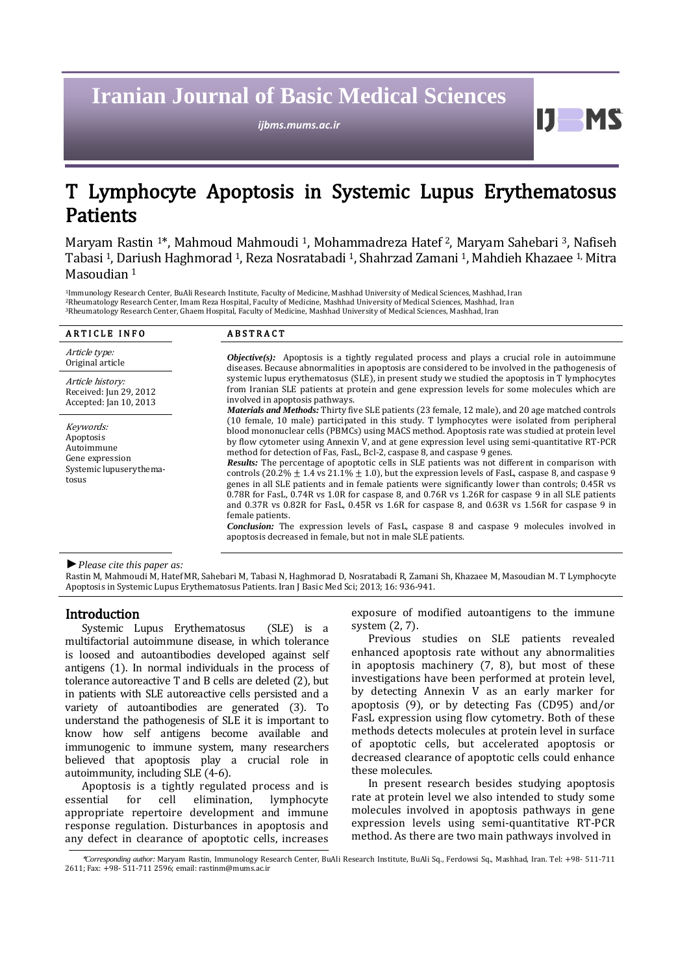# **Iranian Journal of Basic Medical Sciences**

*ijbms.mums.ac.ir*

## T Lymphocyte Apoptosis in Systemic Lupus Erythematosus Patients

Maryam Rastin <sup>1</sup>\*, Mahmoud Mahmoudi 1, Mohammadreza Hatef <sup>2</sup>, Maryam Sahebari 3, Nafiseh Tabasi <sup>1</sup>, Dariush Haghmorad <sup>1</sup>, Reza Nosratabadi <sup>1</sup>, Shahrzad Zamani <sup>1</sup>, Mahdieh Khazaee 1, Mitra Masoudian <sup>1</sup>

<sup>1</sup>Immunology Research Center, BuAli Research Institute, Faculty of Medicine, Mashhad University of Medical Sciences, Mashhad, Iran <sup>2</sup>Rheumatology Research Center, Imam Reza Hospital, Faculty of Medicine, Mashhad University of Medical Sciences, Mashhad, Iran <sup>3</sup>Rheumatology Research Center, Ghaem Hospital, Faculty of Medicine, Mashhad University of Medical Sciences, Mashhad, Iran

| <b>ARTICLE INFO</b>                                                                         | <b>ABSTRACT</b>                                                                                                                                                                                                                                                                                                                                                                                                                                                                                                                                                                                                                                                                                                                                                                                                                                                                                                                                                                                                                                                                                                                                                                                                                                                                                                                                                                                                                                                                                                                                                                                                                                                       |
|---------------------------------------------------------------------------------------------|-----------------------------------------------------------------------------------------------------------------------------------------------------------------------------------------------------------------------------------------------------------------------------------------------------------------------------------------------------------------------------------------------------------------------------------------------------------------------------------------------------------------------------------------------------------------------------------------------------------------------------------------------------------------------------------------------------------------------------------------------------------------------------------------------------------------------------------------------------------------------------------------------------------------------------------------------------------------------------------------------------------------------------------------------------------------------------------------------------------------------------------------------------------------------------------------------------------------------------------------------------------------------------------------------------------------------------------------------------------------------------------------------------------------------------------------------------------------------------------------------------------------------------------------------------------------------------------------------------------------------------------------------------------------------|
| Article type:<br>Original article                                                           | <b><i>Objective(s):</i></b> Apoptosis is a tightly regulated process and plays a crucial role in autoimmune<br>diseases. Because abnormalities in apoptosis are considered to be involved in the pathogenesis of<br>systemic lupus erythematosus (SLE), in present study we studied the apoptosis in T lymphocytes<br>from Iranian SLE patients at protein and gene expression levels for some molecules which are<br>involved in apoptosis pathways.<br><i>Materials and Methods:</i> Thirty five SLE patients (23 female, 12 male), and 20 age matched controls<br>(10 female, 10 male) participated in this study. T lymphocytes were isolated from peripheral<br>blood mononuclear cells (PBMCs) using MACS method. Apoptosis rate was studied at protein level<br>by flow cytometer using Annexin V, and at gene expression level using semi-quantitative RT-PCR<br>method for detection of Fas, FasL, Bcl-2, caspase 8, and caspase 9 genes.<br><b>Results:</b> The percentage of apoptotic cells in SLE patients was not different in comparison with<br>controls (20.2% $\pm$ 1.4 vs 21.1% $\pm$ 1.0), but the expression levels of FasL, caspase 8, and caspase 9<br>genes in all SLE patients and in female patients were significantly lower than controls; 0.45R vs<br>0.78R for FasL, 0.74R vs 1.0R for caspase 8, and 0.76R vs 1.26R for caspase 9 in all SLE patients<br>and 0.37R vs 0.82R for FasL, 0.45R vs 1.6R for caspase 8, and 0.63R vs 1.56R for caspase 9 in<br>female patients.<br>Conclusion: The expression levels of FasL, caspase 8 and caspase 9 molecules involved in<br>apoptosis decreased in female, but not in male SLE patients. |
| Article history:<br>Received: Jun 29, 2012<br>Accepted: Jan 10, 2013                        |                                                                                                                                                                                                                                                                                                                                                                                                                                                                                                                                                                                                                                                                                                                                                                                                                                                                                                                                                                                                                                                                                                                                                                                                                                                                                                                                                                                                                                                                                                                                                                                                                                                                       |
| Keywords:<br>Apoptosis<br>Autoimmune<br>Gene expression<br>Systemic lupuserythema-<br>tosus |                                                                                                                                                                                                                                                                                                                                                                                                                                                                                                                                                                                                                                                                                                                                                                                                                                                                                                                                                                                                                                                                                                                                                                                                                                                                                                                                                                                                                                                                                                                                                                                                                                                                       |

*►Please cite this paper as:*

Rastin M, Mahmoudi M, Hatef MR, Sahebari M, Tabasi N, Haghmorad D, Nosratabadi R, Zamani Sh, Khazaee M, Masoudian M. T Lymphocyte Apoptosis in Systemic Lupus Erythematosus Patients. Iran J Basic Med Sci; 2013; 16: 936-941.

## Introduction

Systemic Lupus Erythematosus (SLE) is a multifactorial autoimmune disease, in which tolerance is loosed and autoantibodies developed against self antigens (1). In normal individuals in the process of tolerance autoreactive T and B cells are deleted (2), but in patients with SLE autoreactive cells persisted and a variety of autoantibodies are generated (3). To understand the pathogenesis of SLE it is important to know how self antigens become available and immunogenic to immune system, many researchers believed that apoptosis play a crucial role in autoimmunity, including SLE (4-6).

Apoptosis is a tightly regulated process and is essential for cell elimination, lymphocyte appropriate repertoire development and immune response regulation. Disturbances in apoptosis and any defect in clearance of apoptotic cells, increases exposure of modified autoantigens to the immune system (2, 7).

11

**MS** 

Previous studies on SLE patients revealed enhanced apoptosis rate without any abnormalities in apoptosis machinery (7, 8), but most of these investigations have been performed at protein level, by detecting Annexin V as an early marker for apoptosis (9), or by detecting Fas (CD95) and/or FasL expression using flow cytometry. Both of these methods detects molecules at protein level in surface of apoptotic cells, but accelerated apoptosis or decreased clearance of apoptotic cells could enhance these molecules.

In present research besides studying apoptosis rate at protein level we also intended to study some molecules involved in apoptosis pathways in gene expression levels using semi-quantitative RT-PCR method. As there are two main pathways involved in

<sup>\*</sup>*Corresponding author:* Maryam Rastin, Immunology Research Center, BuAli Research Institute, BuAli Sq., Ferdowsi Sq., Mashhad, Iran. Tel: +98- 511-711 2611; Fax: +98- 511-711 2596; email[: rastinm@mums.ac.ir](mailto:rastinm@mums.ac.ir)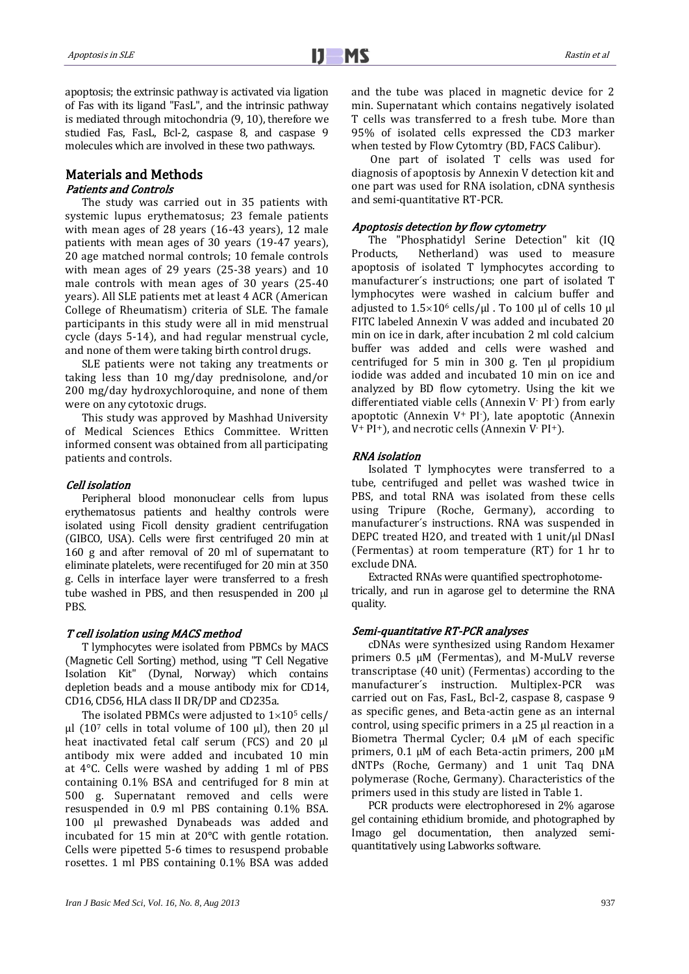apoptosis; the extrinsic pathway is activated via ligation of Fas with its ligand "FasL", and the intrinsic pathway is mediated through mitochondria (9, 10), therefore we studied Fas, FasL, Bcl-2, caspase 8, and caspase 9 molecules which are involved in these two pathways.

## Materials and Methods Patients and Controls

The study was carried out in 35 patients with systemic lupus erythematosus; 23 female patients with mean ages of 28 years (16-43 years), 12 male patients with mean ages of 30 years (19-47 years), 20 age matched normal controls; 10 female controls with mean ages of 29 years (25-38 years) and 10 male controls with mean ages of 30 years (25-40 years). All SLE patients met at least 4 ACR (American College of Rheumatism) criteria of SLE. The famale participants in this study were all in mid menstrual cycle (days 5-14), and had regular menstrual cycle, and none of them were taking birth control drugs.

SLE patients were not taking any treatments or taking less than 10 mg/day prednisolone, and/or 200 mg/day hydroxychloroquine, and none of them were on any cytotoxic drugs.

This study was approved by Mashhad University of Medical Sciences Ethics Committee. Written informed consent was obtained from all participating patients and controls.

#### Cell isolation

Peripheral blood mononuclear cells from lupus erythematosus patients and healthy controls were isolated using Ficoll density gradient centrifugation (GIBCO, USA). Cells were first centrifuged 20 min at 160 g and after removal of 20 ml of supernatant to eliminate platelets, were recentifuged for 20 min at 350 g. Cells in interface layer were transferred to a fresh tube washed in PBS, and then resuspended in 200 µl PBS.

#### T cell isolation using MACS method

T lymphocytes were isolated from PBMCs by MACS (Magnetic Cell Sorting) method, using "T Cell Negative Isolation Kit" (Dynal, Norway) which contains depletion beads and a mouse antibody mix for CD14, CD16, CD56, HLA class II DR/DP and CD235a.

The isolated PBMCs were adjusted to  $1\times10^5$  cells/ μl (10<sup>7</sup> cells in total volume of 100 μl), then 20 μl heat inactivated fetal calf serum (FCS) and 20 μl antibody mix were added and incubated 10 min at 4°C. Cells were washed by adding 1 ml of PBS containing 0.1% BSA and centrifuged for 8 min at 500 g. Supernatant removed and cells were resuspended in 0.9 ml PBS containing 0.1% BSA. 100 μl prewashed Dynabeads was added and incubated for 15 min at 20°C with gentle rotation. Cells were pipetted 5-6 times to resuspend probable rosettes. 1 ml PBS containing 0.1% BSA was added and the tube was placed in magnetic device for 2 min. Supernatant which contains negatively isolated T cells was transferred to a fresh tube. More than 95% of isolated cells expressed the CD3 marker when tested by Flow Cytomtry (BD, FACS Calibur).

One part of isolated T cells was used for diagnosis of apoptosis by Annexin V detection kit and one part was used for RNA isolation, cDNA synthesis and semi-quantitative RT-PCR.

#### Apoptosis detection by flow cytometry

The "Phosphatidyl Serine Detection" kit (IQ Products, Netherland) was used to measure apoptosis of isolated T lymphocytes according to manufacturer´s instructions; one part of isolated T lymphocytes were washed in calcium buffer and adjusted to  $1.5\times10^6$  cells/μl . To 100 μl of cells 10 μl FITC labeled Annexin V was added and incubated 20 min on ice in dark, after incubation 2 ml cold calcium buffer was added and cells were washed and centrifuged for 5 min in 300 g. Ten μl propidium iodide was added and incubated 10 min on ice and analyzed by BD flow cytometry. Using the kit we differentiated viable cells (Annexin V- PI-) from early apoptotic (Annexin V<sup>+</sup> PI-), late apoptotic (Annexin V<sup>+</sup> PI+), and necrotic cells (Annexin V- PI+).

#### RNA isolation

Isolated T lymphocytes were transferred to a tube, centrifuged and pellet was washed twice in PBS, and total RNA was isolated from these cells using Tripure (Roche, Germany), according to manufacturer´s instructions. RNA was suspended in DEPC treated H2O, and treated with 1 unit/μl DNasI (Fermentas) at room temperature (RT) for 1 hr to exclude DNA.

Extracted RNAs were quantified spectrophotometrically, and run in agarose gel to determine the RNA quality.

#### Semi-quantitative RT-PCR analyses

cDNAs were synthesized using Random Hexamer primers 0.5 μM (Fermentas), and M-MuLV reverse transcriptase (40 unit) (Fermentas) according to the manufacturer´s instruction. Multiplex-PCR was carried out on Fas, FasL, Bcl-2, caspase 8, caspase 9 as specific genes, and Beta-actin gene as an internal control, using specific primers in a 25 μl reaction in a Biometra Thermal Cycler; 0.4 μM of each specific primers, 0.1 μM of each Beta-actin primers, 200 μM dNTPs (Roche, Germany) and 1 unit Taq DNA polymerase (Roche, Germany). Characteristics of the primers used in this study are listed in Table 1.

PCR products were electrophoresed in 2% agarose gel containing ethidium bromide, and photographed by Imago gel documentation, then analyzed semiquantitatively using Labworks software.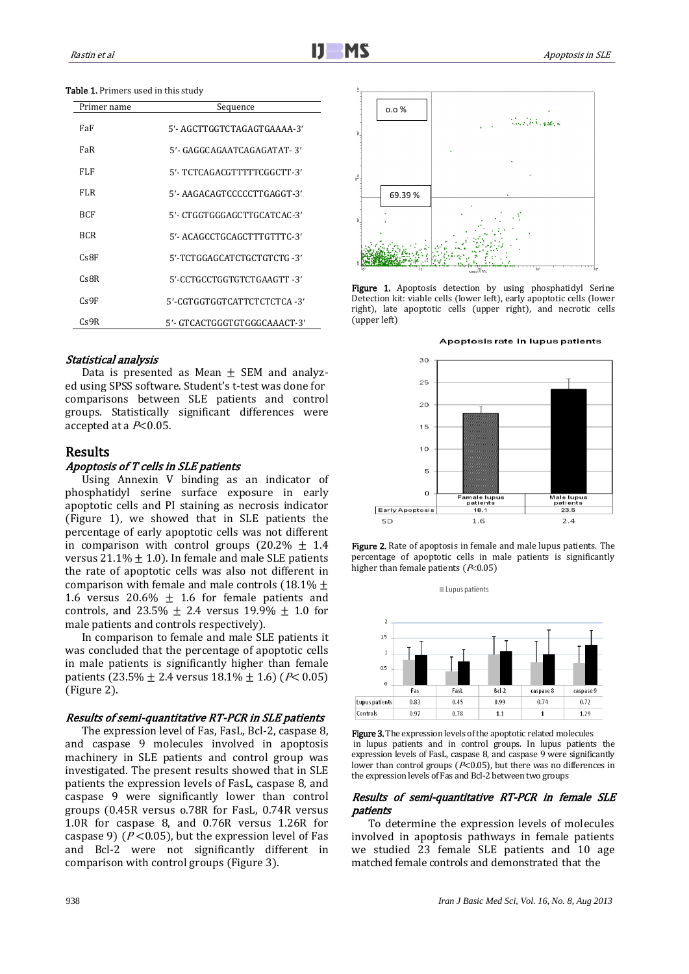#### Table 1. Primers used in this study

| Primer name | Sequence                     |
|-------------|------------------------------|
| FaF         | 5'- AGCTTGGTCTAGAGTGAAAA-3'  |
| FaR         | 5'- GAGGCAGAATCAGAGATAT- 3'  |
| FLF         | 5'- TCTCAGACGTTTTTCGGCTT-3'  |
| FLR.        | 5'- AAGACAGTCCCCCTTGAGGT-3'  |
| <b>BCF</b>  | 5'- CTGGTGGGAGCTTGCATCAC-3'  |
| <b>BCR</b>  | 5'- ACAGCCTGCAGCTTTGTTTC-3'  |
| CsBF        | 5'-TCTGGAGCATCTGCTGTCTG -3'  |
| CsBR        | 5'-CCTGCCTGGTGTCTGAAGTT-3'   |
| Cs9F        | 5'-CGTGGTGGTCATTCTCTCTCA-3'  |
| Cs9R        | 5'- GTCACTGGGTGTGGGCAAACT-3' |

#### Statistical analysis

Data is presented as Mean  $\pm$  SEM and analyzed using SPSS software. Student's t-test was done for comparisons between SLE patients and control groups. Statistically significant differences were accepted at a  $P<0.05$ .

## Results

#### Apoptosis of T cells in SLE patients

Using Annexin V binding as an indicator of phosphatidyl serine surface exposure in early apoptotic cells and PI staining as necrosis indicator (Figure 1), we showed that in SLE patients the percentage of early apoptotic cells was not different in comparison with control groups  $(20.2\% \pm 1.4)$ versus  $21.1\% \pm 1.0$ ). In female and male SLE patients the rate of apoptotic cells was also not different in comparison with female and male controls (18.1%  $\pm$ 1.6 versus 20.6%  $\pm$  1.6 for female patients and controls, and 23.5%  $\pm$  2.4 versus 19.9%  $\pm$  1.0 for male patients and controls respectively).

In comparison to female and male SLE patients it was concluded that the percentage of apoptotic cells in male patients is significantly higher than female patients (23.5%  $\pm$  2.4 versus 18.1%  $\pm$  1.6) (P< 0.05) (Figure 2).

#### Results of semi-quantitative RT-PCR in SLE patients

The expression level of Fas, FasL, Bcl-2, caspase 8, and caspase 9 molecules involved in apoptosis machinery in SLE patients and control group was investigated. The present results showed that in SLE patients the expression levels of FasL, caspase 8, and caspase 9 were significantly lower than control groups (0.45R versus o.78R for FasL, 0.74R versus 1.0R for caspase 8, and 0.76R versus 1.26R for caspase 9) ( $P < 0.05$ ), but the expression level of Fas and Bcl-2 were not significantly different in comparison with control groups (Figure 3).



Figure 1. Apoptosis detection by using phosphatidyl Serine Detection kit: viable cells (lower left), early apoptotic cells (lower right), late apoptotic cells (upper right), and necrotic cells (upper left)



Figure 2. Rate of apoptosis in female and male lupus patients. The percentage of apoptotic cells in male patients is significantly higher than female patients ( $P<0.05$ )





Figure 3. The expression levels of the apoptotic related molecules in lupus patients and in control groups. In lupus patients the expression levels of FasL, caspase 8, and caspase 9 were significantly lower than control groups ( $P<0.05$ ), but there was no differences in the expression levels of Fas and Bcl-2 between two groups

#### Results of semi-quantitative RT-PCR in female SLE patients

To determine the expression levels of molecules involved in apoptosis pathways in female patients we studied 23 female SLE patients and 10 age matched female controls and demonstrated that the

#### 938 *Iran J Basic Med Sci, Vol. 16, No. 8, Aug 2013*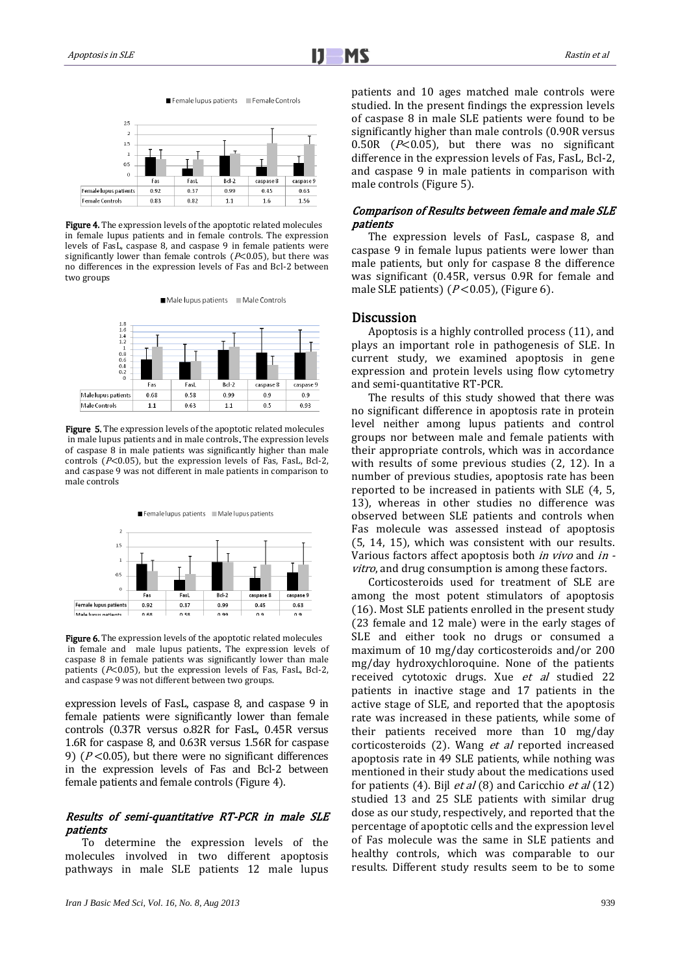

**Figure 4.** The expression levels of the apoptotic related molecules in female lupus patients and in female controls. The expression levels of FasL, caspase 8, and caspase 9 in female patients were significantly lower than female controls ( $P<0.05$ ), but there was no differences in the expression levels of Fas and Bcl-2 between two groups

Male lupus patients Male Controls



Figure 5. The expression levels of the apoptotic related molecules in male lupus patients and in male controls. The expression levels of caspase 8 in male patients was significantly higher than male controls ( $P<0.05$ ), but the expression levels of Fas, FasL, Bcl-2, and caspase 9 was not different in male patients in comparison to male controls



Figure 6. The expression levels of the apoptotic related molecules in female and male lupus patients. The expression levels of caspase 8 in female patients was significantly lower than male patients ( $P<0.05$ ), but the expression levels of Fas, FasL, Bcl-2, and caspase 9 was not different between two groups.

expression levels of FasL, caspase 8, and caspase 9 in female patients were significantly lower than female controls (0.37R versus o.82R for FasL, 0.45R versus 1.6R for caspase 8, and 0.63R versus 1.56R for caspase 9) ( $P < 0.05$ ), but there were no significant differences in the expression levels of Fas and Bcl-2 between female patients and female controls (Figure 4).

## Results of semi-quantitative RT-PCR in male SLE patients

To determine the expression levels of the molecules involved in two different apoptosis pathways in male SLE patients 12 male lupus patients and 10 ages matched male controls were studied. In the present findings the expression levels of caspase 8 in male SLE patients were found to be significantly higher than male controls (0.90R versus 0.50R ( $P<$ 0.05), but there was no significant difference in the expression levels of Fas, FasL, Bcl-2, and caspase 9 in male patients in comparison with male controls (Figure 5).

## Comparison of Results between female and male SLE patients

The expression levels of FasL, caspase 8, and caspase 9 in female lupus patients were lower than male patients, but only for caspase 8 the difference was significant (0.45R, versus 0.9R for female and male SLE patients)  $(P<0.05)$ , (Figure 6).

## **Discussion**

Apoptosis is a highly controlled process (11), and plays an important role in pathogenesis of SLE. In current study, we examined apoptosis in gene expression and protein levels using flow cytometry and semi-quantitative RT-PCR.

The results of this study showed that there was no significant difference in apoptosis rate in protein level neither among lupus patients and control groups nor between male and female patients with their appropriate controls, which was in accordance with results of some previous studies (2, 12). In a number of previous studies, apoptosis rate has been reported to be increased in patients with SLE (4, 5, 13), whereas in other studies no difference was observed between SLE patients and controls when Fas molecule was assessed instead of apoptosis (5, 14, 15), which was consistent with our results. Various factors affect apoptosis both *in vivo* and *in* vitro, and drug consumption is among these factors.

Corticosteroids used for treatment of SLE are among the most potent stimulators of apoptosis (16). Most SLE patients enrolled in the present study (23 female and 12 male) were in the early stages of SLE and either took no drugs or consumed a maximum of 10 mg/day corticosteroids and/or 200 mg/day hydroxychloroquine. None of the patients received cytotoxic drugs. Xue et al studied 22 patients in inactive stage and 17 patients in the active stage of SLE, and reported that the apoptosis rate was increased in these patients, while some of their patients received more than 10 mg/day corticosteroids (2). Wang et al reported increased apoptosis rate in 49 SLE patients, while nothing was mentioned in their study about the medications used for patients (4). Bijl *et al* (8) and Caricchio *et al* (12) studied 13 and 25 SLE patients with similar drug dose as our study, respectively, and reported that the percentage of apoptotic cells and the expression level of Fas molecule was the same in SLE patients and healthy controls, which was comparable to our results. Different study results seem to be to some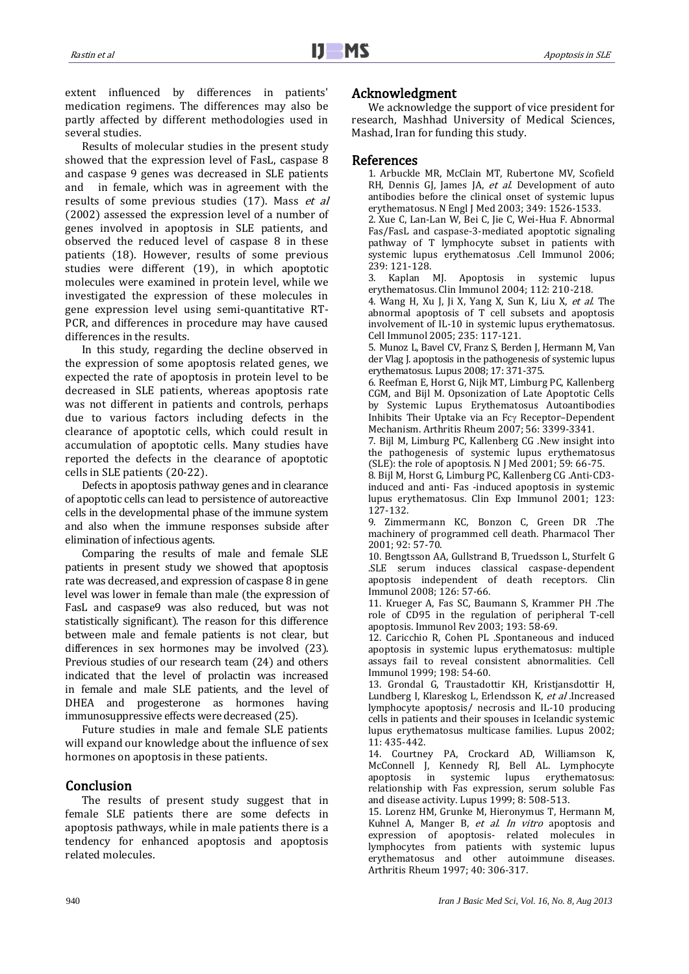extent influenced by differences in patients' medication regimens. The differences may also be partly affected by different methodologies used in several studies.

Results of molecular studies in the present study showed that the expression level of FasL, caspase 8 and caspase 9 genes was decreased in SLE patients and in female, which was in agreement with the results of some previous studies (17). Mass et al (2002) assessed the expression level of a number of genes involved in apoptosis in SLE patients, and observed the reduced level of caspase 8 in these patients (18). However, results of some previous studies were different (19), in which apoptotic molecules were examined in protein level, while we investigated the expression of these molecules in gene expression level using semi-quantitative RT-PCR, and differences in procedure may have caused differences in the results.

In this study, regarding the decline observed in the expression of some apoptosis related genes, we expected the rate of apoptosis in protein level to be decreased in SLE patients, whereas apoptosis rate was not different in patients and controls, perhaps due to various factors including defects in the clearance of apoptotic cells, which could result in accumulation of apoptotic cells. Many studies have reported the defects in the clearance of apoptotic cells in SLE patients (20-22).

Defects in apoptosis pathway genes and in clearance of apoptotic cells can lead to persistence of autoreactive cells in the developmental phase of the immune system and also when the immune responses subside after elimination of infectious agents.

Comparing the results of male and female SLE patients in present study we showed that apoptosis rate was decreased, and expression of caspase 8 in gene level was lower in female than male (the expression of FasL and caspase9 was also reduced, but was not statistically significant). The reason for this difference between male and female patients is not clear, but differences in sex hormones may be involved (23). Previous studies of our research team (24) and others indicated that the level of prolactin was increased in female and male SLE patients, and the level of DHEA and progesterone as hormones having immunosuppressive effects were decreased (25).

Future studies in male and female SLE patients will expand our knowledge about the influence of sex hormones on apoptosis in these patients.

## Conclusion

The results of present study suggest that in female SLE patients there are some defects in apoptosis pathways, while in male patients there is a tendency for enhanced apoptosis and apoptosis related molecules.

## Acknowledgment

We acknowledge the support of vice president for research, Mashhad University of Medical Sciences, Mashad, Iran for funding this study.

## References

1. Arbuckle MR, McClain MT, Rubertone MV, Scofield RH, Dennis GJ, James JA, et al. Development of auto antibodies before the clinical onset of systemic lupus erythematosus. N Engl J Med 2003; 349: 1526-1533.

2. Xue C, Lan-Lan W, Bei C, Jie C, Wei-Hua F. Abnormal Fas/FasL and caspase-3-mediated apoptotic signaling pathway of T lymphocyte subset in patients with systemic lupus erythematosus .Cell Immunol 2006; 239: 121-128.

3. Kaplan MJ. Apoptosis in systemic lupus erythematosus. Clin Immunol 2004; 112: 210-218.

4. Wang H, Xu J, Ji X, Yang X, Sun K, Liu X, et al. The abnormal apoptosis of T cell subsets and apoptosis involvement of IL-10 in systemic lupus erythematosus. Cell Immunol 2005; 235: 117-121.

5. Munoz L, Bavel CV, Franz S, Berden J, Hermann M, Van der Vlag J. apoptosis in the pathogenesis of systemic lupus erythematosus. Lupus 2008; 17: 371-375.

6. Reefman E, Horst G, Nijk MT, Limburg PC, Kallenberg CGM, and Bijl M. Opsonization of Late Apoptotic Cells by Systemic Lupus Erythematosus Autoantibodies Inhibits Their Uptake via an Fcy Receptor-Dependent Mechanism. Arthritis Rheum 2007; 56: 3399-3341.

7. Bijl M, Limburg PC, Kallenberg CG .New insight into the pathogenesis of systemic lupus erythematosus (SLE): the role of apoptosis. N J Med 2001; 59: 66-75.

8. Bijl M, Horst G, Limburg PC, Kallenberg CG .Anti-CD3 induced and anti- Fas -induced apoptosis in systemic lupus erythematosus. Clin Exp Immunol 2001; 123: 127-132.

9. Zimmermann KC, Bonzon C, Green DR .The machinery of programmed cell death. Pharmacol Ther 2001; 92: 57-70.

10. Bengtsson AA, Gullstrand B, Truedsson L, Sturfelt G .SLE serum induces classical caspase-dependent apoptosis independent of death receptors. Clin Immunol 2008; 126: 57-66.

11. Krueger A, Fas SC, Baumann S, Krammer PH .The role of CD95 in the regulation of peripheral T-cell apoptosis. Immunol Rev 2003; 193: 58-69.

12. Caricchio R, Cohen PL .Spontaneous and induced apoptosis in systemic lupus erythematosus: multiple assays fail to reveal consistent abnormalities. Cell Immunol 1999; 198: 54-60.

13. Grondal G, Traustadottir KH, Kristjansdottir H, Lundberg I, Klareskog L, Erlendsson K, et al .Increased lymphocyte apoptosis/ necrosis and IL-10 producing cells in patients and their spouses in Icelandic systemic lupus erythematosus multicase families. Lupus 2002; 11: 435-442.

14. Courtney PA, Crockard AD, Williamson K, McConnell J, Kennedy RJ, Bell AL. Lymphocyte apoptosis in systemic lupus erythematosus: relationship with Fas expression, serum soluble Fas and disease activity. Lupus 1999; 8: 508-513.

15. Lorenz HM, Grunke M, Hieronymus T, Hermann M, Kuhnel A, Manger B, et al. In vitro apoptosis and expression of apoptosis- related molecules in lymphocytes from patients with systemic lupus erythematosus and other autoimmune diseases. Arthritis Rheum 1997; 40: 306-317.